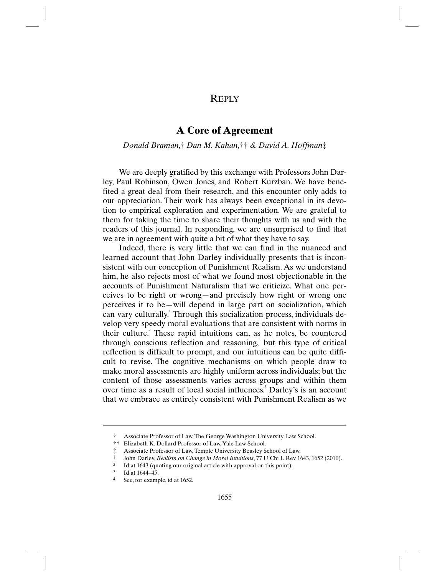## **REPLY**

## **A Core of Agreement**

*Donald Braman,*† *Dan M. Kahan,*†† *& David A. Hoffman*‡

We are deeply gratified by this exchange with Professors John Darley, Paul Robinson, Owen Jones, and Robert Kurzban. We have benefited a great deal from their research, and this encounter only adds to our appreciation. Their work has always been exceptional in its devotion to empirical exploration and experimentation. We are grateful to them for taking the time to share their thoughts with us and with the readers of this journal. In responding, we are unsurprised to find that we are in agreement with quite a bit of what they have to say.

Indeed, there is very little that we can find in the nuanced and learned account that John Darley individually presents that is inconsistent with our conception of Punishment Realism. As we understand him, he also rejects most of what we found most objectionable in the accounts of Punishment Naturalism that we criticize. What one perceives to be right or wrong—and precisely how right or wrong one perceives it to be—will depend in large part on socialization, which can vary culturally. Through this socialization process, individuals develop very speedy moral evaluations that are consistent with norms in their culture. 2 These rapid intuitions can, as he notes, be countered through conscious reflection and reasoning,<sup>3</sup> but this type of critical reflection is difficult to prompt, and our intuitions can be quite difficult to revise. The cognitive mechanisms on which people draw to make moral assessments are highly uniform across individuals; but the content of those assessments varies across groups and within them over time as a result of local social influences. 4 Darley's is an account that we embrace as entirely consistent with Punishment Realism as we

<sup>†</sup> Associate Professor of Law, The George Washington University Law School.

<sup>††</sup> Elizabeth K. Dollard Professor of Law, Yale Law School.

<sup>‡</sup> Associate Professor of Law, Temple University Beasley School of Law.

<sup>1</sup> John Darley, *Realism on Change in Moral Intuitions*, 77 U Chi L Rev 1643, 1652 (2010).

Id at 1643 (quoting our original article with approval on this point).

<sup>3</sup> Id at 1644–45.

See, for example, id at 1652.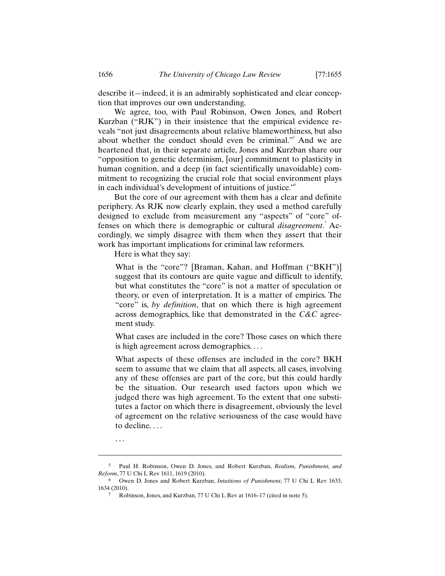describe it—indeed, it is an admirably sophisticated and clear conception that improves our own understanding.

We agree, too, with Paul Robinson, Owen Jones, and Robert Kurzban ("RJK") in their insistence that the empirical evidence reveals "not just disagreements about relative blameworthiness, but also about whether the conduct should even be criminal."<sup>5</sup> And we are heartened that, in their separate article, Jones and Kurzban share our "opposition to genetic determinism, [our] commitment to plasticity in human cognition, and a deep (in fact scientifically unavoidable) commitment to recognizing the crucial role that social environment plays in each individual's development of intuitions of justice."<sup>6</sup>

But the core of our agreement with them has a clear and definite periphery. As RJK now clearly explain, they used a method carefully designed to exclude from measurement any "aspects" of "core" offenses on which there is demographic or cultural *disagreement*.<sup>7</sup> Accordingly, we simply disagree with them when they assert that their work has important implications for criminal law reformers.

Here is what they say:

What is the "core"? [Braman, Kahan, and Hoffman ("BKH")] suggest that its contours are quite vague and difficult to identify, but what constitutes the "core" is not a matter of speculation or theory, or even of interpretation. It is a matter of empirics. The "core" is, *by definition*, that on which there is high agreement across demographics, like that demonstrated in the *C&C* agreement study.

What cases are included in the core? Those cases on which there is high agreement across demographics. . . .

What aspects of these offenses are included in the core? BKH seem to assume that we claim that all aspects, all cases, involving any of these offenses are part of the core, but this could hardly be the situation. Our research used factors upon which we judged there was high agreement. To the extent that one substitutes a factor on which there is disagreement, obviously the level of agreement on the relative seriousness of the case would have to decline. . . .

<sup>.</sup> . .

<sup>5</sup> Paul H. Robinson, Owen D. Jones, and Robert Kurzban, *Realism, Punishment, and Reform*, 77 U Chi L Rev 1611, 1619 (2010).

<sup>6</sup> Owen D. Jones and Robert Kurzban, *Intuitions of Punishment*, 77 U Chi L Rev 1633, 1634 (2010).

<sup>7</sup> Robinson, Jones, and Kurzban, 77 U Chi L Rev at 1616–17 (cited in note 5).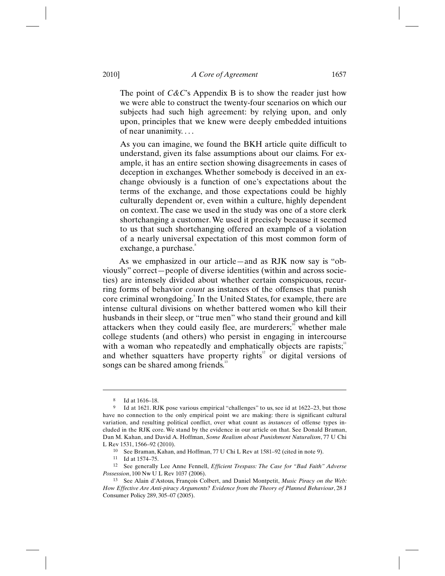## 2010] *A Core of Agreement* 1657

The point of *C&C*'s Appendix B is to show the reader just how we were able to construct the twenty-four scenarios on which our subjects had such high agreement: by relying upon, and only upon, principles that we knew were deeply embedded intuitions of near unanimity. . . .

As you can imagine, we found the BKH article quite difficult to understand, given its false assumptions about our claims. For example, it has an entire section showing disagreements in cases of deception in exchanges. Whether somebody is deceived in an exchange obviously is a function of one's expectations about the terms of the exchange, and those expectations could be highly culturally dependent or, even within a culture, highly dependent on context. The case we used in the study was one of a store clerk shortchanging a customer. We used it precisely because it seemed to us that such shortchanging offered an example of a violation of a nearly universal expectation of this most common form of exchange, a purchase.<sup>8</sup>

As we emphasized in our article—and as RJK now say is "obviously" correct—people of diverse identities (within and across societies) are intensely divided about whether certain conspicuous, recurring forms of behavior *count* as instances of the offenses that punish core criminal wrongdoing.<sup>9</sup> In the United States, for example, there are intense cultural divisions on whether battered women who kill their husbands in their sleep, or "true men" who stand their ground and kill attackers when they could easily flee, are murderers;<sup>10</sup> whether male college students (and others) who persist in engaging in intercourse with a woman who repeatedly and emphatically objects are rapists;" and whether squatters have property rights $\mathbf{r}^2$  or digital versions of songs can be shared among friends.<sup>13</sup>

 $^{8}$  Id at 1616–18.<br><sup>9</sup> Id at 1621. R.

<sup>9</sup> Id at 1621. RJK pose various empirical "challenges" to us, see id at 1622–23, but those have no connection to the only empirical point we are making: there is significant cultural variation, and resulting political conflict, over what count as *instances* of offense types included in the RJK core. We stand by the evidence in our article on that. See Donald Braman, Dan M. Kahan, and David A. Hoffman, *Some Realism about Punishment Naturalism*, 77 U Chi L Rev 1531, 1566–92 (2010).

<sup>10</sup> See Braman, Kahan, and Hoffman, 77 U Chi L Rev at 1581–92 (cited in note 9).

<sup>11</sup> Id at 1574–75.

<sup>12</sup> See generally Lee Anne Fennell, *Efficient Trespass: The Case for "Bad Faith" Adverse Possession*, 100 Nw U L Rev 1037 (2006).

<sup>13</sup> See Alain d'Astous, François Colbert, and Daniel Montpetit, *Music Piracy on the Web: How Effective Are Anti-piracy Arguments? Evidence from the Theory of Planned Behaviour*, 28 J Consumer Policy 289, 305–07 (2005).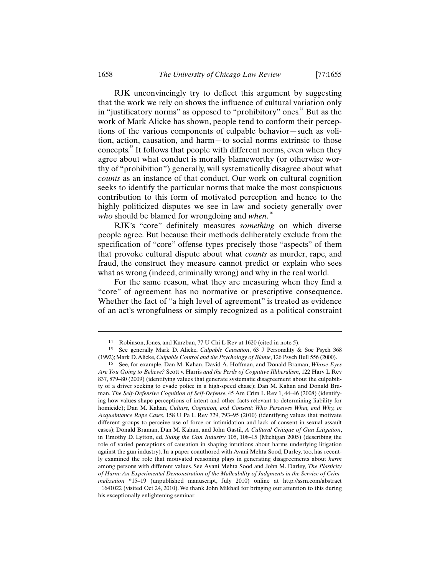RJK unconvincingly try to deflect this argument by suggesting that the work we rely on shows the influence of cultural variation only in "justificatory norms" as opposed to "prohibitory" ones.<sup>14</sup> But as the work of Mark Alicke has shown, people tend to conform their perceptions of the various components of culpable behavior—such as volition, action, causation, and harm—to social norms extrinsic to those concepts.<sup>15</sup> It follows that people with different norms, even when they agree about what conduct is morally blameworthy (or otherwise worthy of "prohibition") generally, will systematically disagree about what *counts* as an instance of that conduct. Our work on cultural cognition seeks to identify the particular norms that make the most conspicuous contribution to this form of motivated perception and hence to the highly politicized disputes we see in law and society generally over who should be blamed for wrongdoing and when.<sup>16</sup>

RJK's "core" definitely measures *something* on which diverse people agree. But because their methods deliberately exclude from the specification of "core" offense types precisely those "aspects" of them that provoke cultural dispute about what *counts* as murder, rape, and fraud, the construct they measure cannot predict or explain who sees what as wrong (indeed, criminally wrong) and why in the real world.

For the same reason, what they are measuring when they find a "core" of agreement has no normative or prescriptive consequence. Whether the fact of "a high level of agreement" is treated as evidence of an act's wrongfulness or simply recognized as a political constraint

<sup>&</sup>lt;sup>14</sup> Robinson, Jones, and Kurzban, 77 U Chi L Rev at 1620 (cited in note 5).<br><sup>15</sup> See generally Mark D Alicke *Culpable Causation* 63, I Personality &

<sup>15</sup> See generally Mark D. Alicke, *Culpable Causation*, 63 J Personality & Soc Psych 368 (1992); Mark D. Alicke, *Culpable Control and the Psychology of Blame*, 126 Psych Bull 556 (2000).

<sup>16</sup> See, for example, Dan M. Kahan, David A. Hoffman, and Donald Braman, *Whose Eyes Are You Going to Believe?* Scott v. Harris *and the Perils of Cognitive Illiberalism*, 122 Harv L Rev 837, 879–80 (2009) (identifying values that generate systematic disagreement about the culpability of a driver seeking to evade police in a high-speed chase); Dan M. Kahan and Donald Braman, *The Self-Defensive Cognition of Self-Defense*, 45 Am Crim L Rev 1, 44–46 (2008) (identifying how values shape perceptions of intent and other facts relevant to determining liability for homicide); Dan M. Kahan, *Culture, Cognition, and Consent: Who Perceives What, and Why, in Acquaintance Rape Cases*, 158 U Pa L Rev 729, 793–95 (2010) (identifying values that motivate different groups to perceive use of force or intimidation and lack of consent in sexual assault cases); Donald Braman, Dan M. Kahan, and John Gastil, *A Cultural Critique of Gun Litigation*, in Timothy D. Lytton, ed, *Suing the Gun Industry* 105, 108–15 (Michigan 2005) (describing the role of varied perceptions of causation in shaping intuitions about harms underlying litigation against the gun industry). In a paper coauthored with Avani Mehta Sood, Darley, too, has recently examined the role that motivated reasoning plays in generating disagreements about *harm* among persons with different values. See Avani Mehta Sood and John M. Darley, *The Plasticity of Harm: An Experimental Demonstration of the Malleability of Judgments in the Service of Criminalization* \*15–19 (unpublished manuscript, July 2010) online at http://ssrn.com/abstract =1641022 (visited Oct 24, 2010). We thank John Mikhail for bringing our attention to this during his exceptionally enlightening seminar.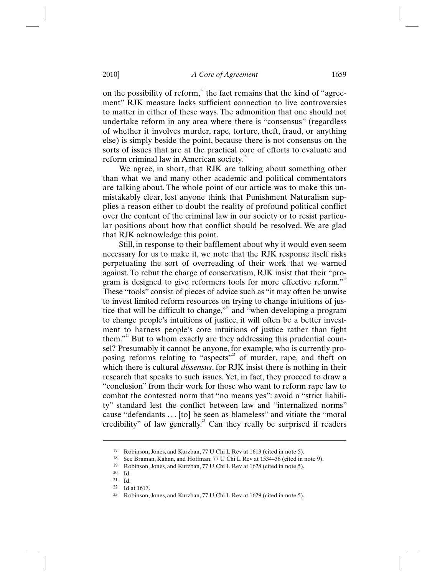## 2010] *A Core of Agreement* 1659

on the possibility of reform," the fact remains that the kind of "agreement" RJK measure lacks sufficient connection to live controversies to matter in either of these ways. The admonition that one should not undertake reform in any area where there is "consensus" (regardless of whether it involves murder, rape, torture, theft, fraud, or anything else) is simply beside the point, because there is not consensus on the sorts of issues that are at the practical core of efforts to evaluate and reform criminal law in American society.<sup>18</sup>

We agree, in short, that RJK are talking about something other than what we and many other academic and political commentators are talking about. The whole point of our article was to make this unmistakably clear, lest anyone think that Punishment Naturalism supplies a reason either to doubt the reality of profound political conflict over the content of the criminal law in our society or to resist particular positions about how that conflict should be resolved. We are glad that RJK acknowledge this point.

Still, in response to their bafflement about why it would even seem necessary for us to make it, we note that the RJK response itself risks perpetuating the sort of overreading of their work that we warned against. To rebut the charge of conservatism, RJK insist that their "program is designed to give reformers tools for more effective reform." These "tools" consist of pieces of advice such as "it may often be unwise to invest limited reform resources on trying to change intuitions of justice that will be difficult to change," $\omega$  and "when developing a program to change people's intuitions of justice, it will often be a better investment to harness people's core intuitions of justice rather than fight them."<sup>21</sup> But to whom exactly are they addressing this prudential counsel? Presumably it cannot be anyone, for example, who is currently proposing reforms relating to "aspects"<sup>22</sup> of murder, rape, and theft on which there is cultural *dissensus*, for RJK insist there is nothing in their research that speaks to such issues. Yet, in fact, they proceed to draw a "conclusion" from their work for those who want to reform rape law to combat the contested norm that "no means yes": avoid a "strict liability" standard lest the conflict between law and "internalized norms" cause "defendants ... [to] be seen as blameless" and vitiate the "moral credibility" of law generally.<sup>23</sup> Can they really be surprised if readers

 $\overline{a}$ 

22 Id at 1617.

<sup>17</sup> Robinson, Jones, and Kurzban, 77 U Chi L Rev at 1613 (cited in note 5).

<sup>18</sup> See Braman, Kahan, and Hoffman, 77 U Chi L Rev at 1534–36 (cited in note 9).

<sup>&</sup>lt;sup>19</sup> Robinson, Jones, and Kurzban, 77 U Chi L Rev at 1628 (cited in note 5).

 $\frac{20}{21}$  Id.

Id.

<sup>23</sup> Robinson, Jones, and Kurzban, 77 U Chi L Rev at 1629 (cited in note 5).